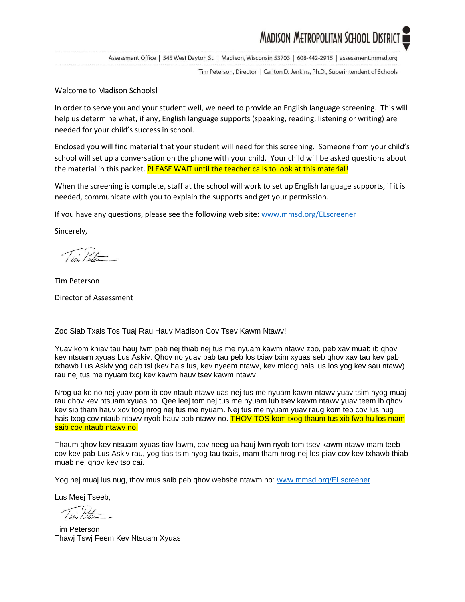

Assessment Office | 545 West Dayton St. | Madison, Wisconsin 53703 | 608-442-2915 | assessment.mmsd.org

Tim Peterson, Director | Carlton D. Jenkins, Ph.D., Superintendent of Schools

Welcome to Madison Schools!

In order to serve you and your student well, we need to provide an English language screening. This will help us determine what, if any, English language supports (speaking, reading, listening or writing) are needed for your child's success in school.

Enclosed you will find material that your student will need for this screening. Someone from your child's school will set up a conversation on the phone with your child. Your child will be asked questions about the material in this packet. PLEASE WAIT until the teacher calls to look at this material!

When the screening is complete, staff at the school will work to set up English language supports, if it is needed, communicate with you to explain the supports and get your permission.

If you have any questions, please see the following web site: [www.mmsd.org/ELscreener](http://www.mmsd.org/ELscreener)

Sincerely,

Tim Peterson Director of Assessment

Zoo Siab Txais Tos Tuaj Rau Hauv Madison Cov Tsev Kawm Ntawv!

Yuav kom khiav tau hauj lwm pab nej thiab nej tus me nyuam kawm ntawv zoo, peb xav muab ib qhov kev ntsuam xyuas Lus Askiv. Qhov no yuav pab tau peb los txiav txim xyuas seb qhov xav tau kev pab txhawb Lus Askiv yog dab tsi (kev hais lus, kev nyeem ntawv, kev mloog hais lus los yog kev sau ntawv) rau nej tus me nyuam txoj kev kawm hauv tsev kawm ntawv.

Nrog ua ke no nej yuav pom ib cov ntaub ntawv uas nej tus me nyuam kawm ntawv yuav tsim nyog muaj rau qhov kev ntsuam xyuas no. Qee leej tom nej tus me nyuam lub tsev kawm ntawv yuav teem ib qhov kev sib tham hauv xov tooj nrog nej tus me nyuam. Nej tus me nyuam yuav raug kom teb cov lus nug hais txog cov ntaub ntawy nyob hauv pob ntawy no. THOV TOS kom txog thaum tus xib fwb hu los mam saib cov ntaub ntawy no!

Thaum qhov kev ntsuam xyuas tiav lawm, cov neeg ua hauj lwm nyob tom tsev kawm ntawv mam teeb cov kev pab Lus Askiv rau, yog tias tsim nyog tau txais, mam tham nrog nej los piav cov kev txhawb thiab muab nej qhov kev tso cai.

Yog nej muaj lus nug, thov mus saib peb qhov website ntawm no: [www.mmsd.org/ELscreener](http://www.mmsd.org/ELscreener)

Lus Meej Tseeb,

Tim Peterson Thawj Tswj Feem Kev Ntsuam Xyuas